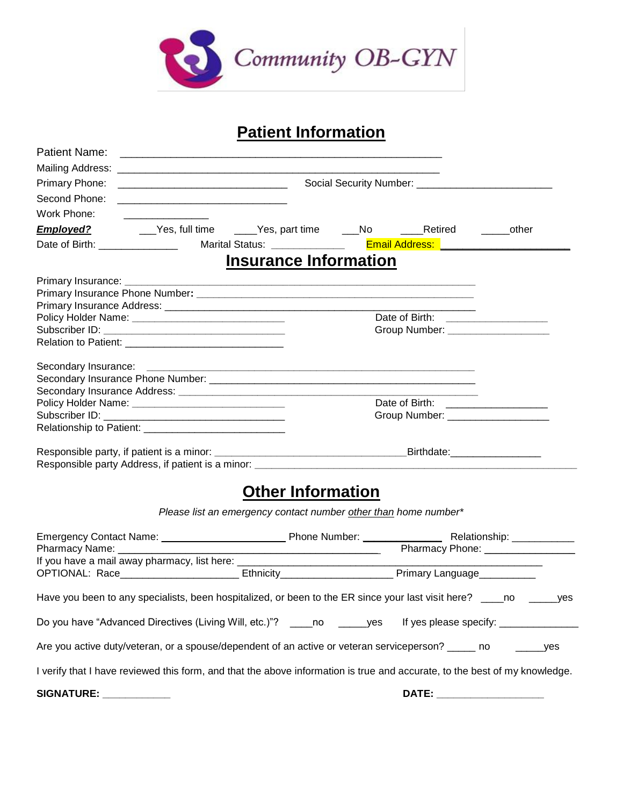

#### **Patient Information**

| <b>Patient Name:</b>                                                                                                 |                                                                                                                           | <u> 2008 - Jan James James James James James James James James James James James James James James James James J</u> |  |                                     |  |
|----------------------------------------------------------------------------------------------------------------------|---------------------------------------------------------------------------------------------------------------------------|----------------------------------------------------------------------------------------------------------------------|--|-------------------------------------|--|
|                                                                                                                      |                                                                                                                           |                                                                                                                      |  |                                     |  |
| Primary Phone:                                                                                                       | <b>Social Security Number: Construction Construction Construction Construction Construction Construction Construction</b> |                                                                                                                      |  |                                     |  |
| Second Phone:                                                                                                        |                                                                                                                           |                                                                                                                      |  |                                     |  |
| Work Phone:                                                                                                          |                                                                                                                           |                                                                                                                      |  |                                     |  |
|                                                                                                                      |                                                                                                                           |                                                                                                                      |  |                                     |  |
|                                                                                                                      |                                                                                                                           |                                                                                                                      |  |                                     |  |
|                                                                                                                      |                                                                                                                           | <b>Insurance Information</b>                                                                                         |  |                                     |  |
|                                                                                                                      |                                                                                                                           |                                                                                                                      |  |                                     |  |
|                                                                                                                      |                                                                                                                           |                                                                                                                      |  |                                     |  |
|                                                                                                                      |                                                                                                                           |                                                                                                                      |  |                                     |  |
| Policy Holder Name: ___________________________________                                                              |                                                                                                                           |                                                                                                                      |  | Date of Birth: ____________________ |  |
|                                                                                                                      |                                                                                                                           |                                                                                                                      |  | Group Number: _____________________ |  |
|                                                                                                                      |                                                                                                                           |                                                                                                                      |  |                                     |  |
|                                                                                                                      |                                                                                                                           |                                                                                                                      |  |                                     |  |
|                                                                                                                      |                                                                                                                           |                                                                                                                      |  |                                     |  |
|                                                                                                                      |                                                                                                                           |                                                                                                                      |  |                                     |  |
|                                                                                                                      |                                                                                                                           |                                                                                                                      |  | Date of Birth: ___________________  |  |
|                                                                                                                      |                                                                                                                           |                                                                                                                      |  | Group Number: ____________________  |  |
|                                                                                                                      |                                                                                                                           |                                                                                                                      |  |                                     |  |
|                                                                                                                      |                                                                                                                           |                                                                                                                      |  |                                     |  |
|                                                                                                                      |                                                                                                                           |                                                                                                                      |  |                                     |  |
|                                                                                                                      |                                                                                                                           | <b>Other Information</b>                                                                                             |  |                                     |  |
|                                                                                                                      |                                                                                                                           | Please list an emergency contact number other than home number*                                                      |  |                                     |  |
|                                                                                                                      |                                                                                                                           |                                                                                                                      |  |                                     |  |
|                                                                                                                      |                                                                                                                           |                                                                                                                      |  |                                     |  |
|                                                                                                                      |                                                                                                                           |                                                                                                                      |  |                                     |  |
| Have you been to any specialists, been hospitalized, or been to the ER since your last visit here? _____no ______yes |                                                                                                                           |                                                                                                                      |  |                                     |  |
| Do you have "Advanced Directives (Living Will, etc.)"? _____no ______yes If yes please specify: _____________        |                                                                                                                           |                                                                                                                      |  |                                     |  |

Are you active duty/veteran, or a spouse/dependent of an active or veteran serviceperson? \_\_\_\_\_ no \_\_\_\_\_\_\_\_yes

I verify that I have reviewed this form, and that the above information is true and accurate, to the best of my knowledge.

**SIGNATURE: \_\_\_\_\_\_\_\_\_\_\_\_ DATE: \_\_\_\_\_\_\_\_\_\_\_\_\_\_\_\_\_\_\_**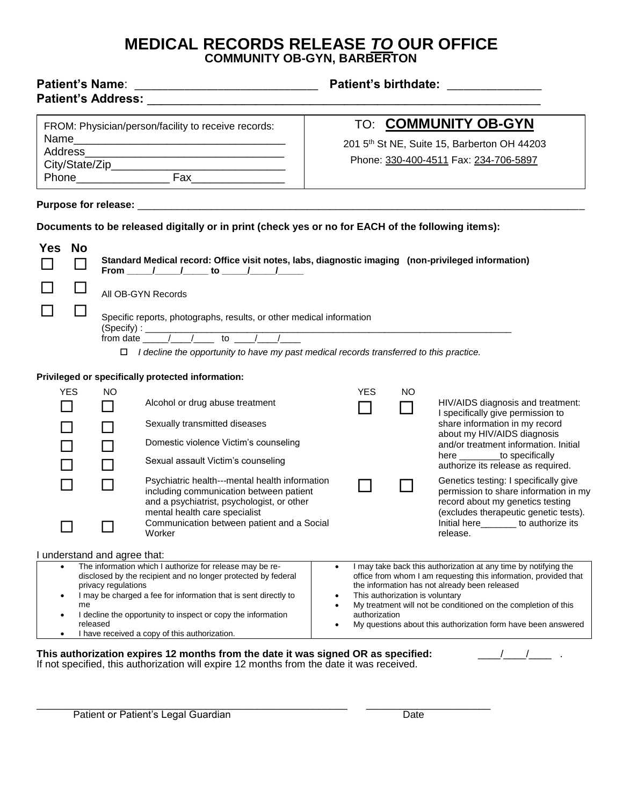#### **MEDICAL RECORDS RELEASE** *TO* **OUR OFFICE COMMUNITY OB-GYN, BARBERTON**

| <b>Patient's birthdate:</b>                                                                                                                                                                                                                                                                                                                                                                           |  |  |  |
|-------------------------------------------------------------------------------------------------------------------------------------------------------------------------------------------------------------------------------------------------------------------------------------------------------------------------------------------------------------------------------------------------------|--|--|--|
| TO: <b>COMMUNITY OB-GYN</b><br>201 5th St NE, Suite 15, Barberton OH 44203<br>Phone: 330-400-4511 Fax: 234-706-5897                                                                                                                                                                                                                                                                                   |  |  |  |
|                                                                                                                                                                                                                                                                                                                                                                                                       |  |  |  |
| Documents to be released digitally or in print (check yes or no for EACH of the following items):                                                                                                                                                                                                                                                                                                     |  |  |  |
| Standard Medical record: Office visit notes, labs, diagnostic imaging (non-privileged information)                                                                                                                                                                                                                                                                                                    |  |  |  |
|                                                                                                                                                                                                                                                                                                                                                                                                       |  |  |  |
| Specific reports, photographs, results, or other medical information<br>(Specify): $\frac{1}{\sqrt{1-\frac{1}{2}} \cdot \frac{1}{2}}$ to $\frac{1}{\sqrt{1-\frac{1}{2}} \cdot \frac{1}{2}}$<br>$\Box$ I decline the opportunity to have my past medical records transferred to this practice.                                                                                                         |  |  |  |
| <b>YES</b><br>NO                                                                                                                                                                                                                                                                                                                                                                                      |  |  |  |
| HIV/AIDS diagnosis and treatment:<br>I specifically give permission to                                                                                                                                                                                                                                                                                                                                |  |  |  |
| share information in my record<br>about my HIV/AIDS diagnosis<br>and/or treatment information. Initial<br>here _________to specifically<br>authorize its release as required.                                                                                                                                                                                                                         |  |  |  |
| Psychiatric health---mental health information<br>Genetics testing: I specifically give<br>including communication between patient<br>permission to share information in my<br>record about my genetics testing<br>(excludes therapeutic genetic tests).<br>Initial here_______ to authorize its                                                                                                      |  |  |  |
| Communication between patient and a Social<br>release.                                                                                                                                                                                                                                                                                                                                                |  |  |  |
| I may take back this authorization at any time by notifying the<br>$\bullet$<br>office from whom I am requesting this information, provided that<br>the information has not already been released<br>This authorization is voluntary<br>My treatment will not be conditioned on the completion of this<br>$\bullet$<br>authorization<br>My questions about this authorization form have been answered |  |  |  |
|                                                                                                                                                                                                                                                                                                                                                                                                       |  |  |  |

If not specified, this authorization will expire 12 months from the date it was received.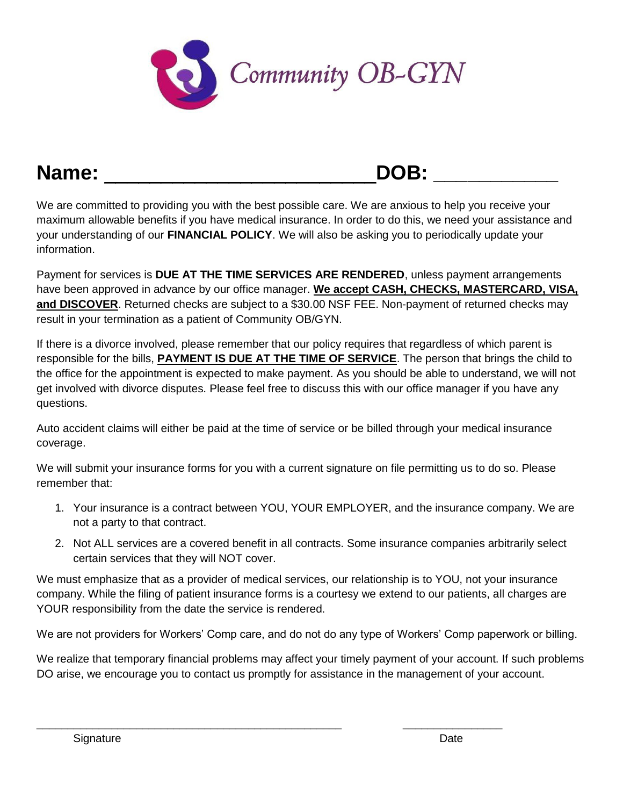

#### **Name:** \_\_\_\_\_\_\_\_\_\_\_\_\_\_\_\_\_\_\_\_\_\_\_\_**DOB: \_\_\_\_\_\_\_\_\_\_\_**

We are committed to providing you with the best possible care. We are anxious to help you receive your maximum allowable benefits if you have medical insurance. In order to do this, we need your assistance and your understanding of our **FINANCIAL POLICY**. We will also be asking you to periodically update your information.

Payment for services is **DUE AT THE TIME SERVICES ARE RENDERED**, unless payment arrangements have been approved in advance by our office manager. **We accept CASH, CHECKS, MASTERCARD, VISA, and DISCOVER**. Returned checks are subject to a \$30.00 NSF FEE. Non-payment of returned checks may result in your termination as a patient of Community OB/GYN.

If there is a divorce involved, please remember that our policy requires that regardless of which parent is responsible for the bills, **PAYMENT IS DUE AT THE TIME OF SERVICE**. The person that brings the child to the office for the appointment is expected to make payment. As you should be able to understand, we will not get involved with divorce disputes. Please feel free to discuss this with our office manager if you have any questions.

Auto accident claims will either be paid at the time of service or be billed through your medical insurance coverage.

We will submit your insurance forms for you with a current signature on file permitting us to do so. Please remember that:

- 1. Your insurance is a contract between YOU, YOUR EMPLOYER, and the insurance company. We are not a party to that contract.
- 2. Not ALL services are a covered benefit in all contracts. Some insurance companies arbitrarily select certain services that they will NOT cover.

We must emphasize that as a provider of medical services, our relationship is to YOU, not your insurance company. While the filing of patient insurance forms is a courtesy we extend to our patients, all charges are YOUR responsibility from the date the service is rendered.

We are not providers for Workers' Comp care, and do not do any type of Workers' Comp paperwork or billing.

We realize that temporary financial problems may affect your timely payment of your account. If such problems DO arise, we encourage you to contact us promptly for assistance in the management of your account.

\_\_\_\_\_\_\_\_\_\_\_\_\_\_\_\_\_\_\_\_\_\_\_\_\_\_\_\_\_\_\_\_\_\_\_\_\_\_\_\_\_\_\_\_\_\_\_\_\_ \_\_\_\_\_\_\_\_\_\_\_\_\_\_\_\_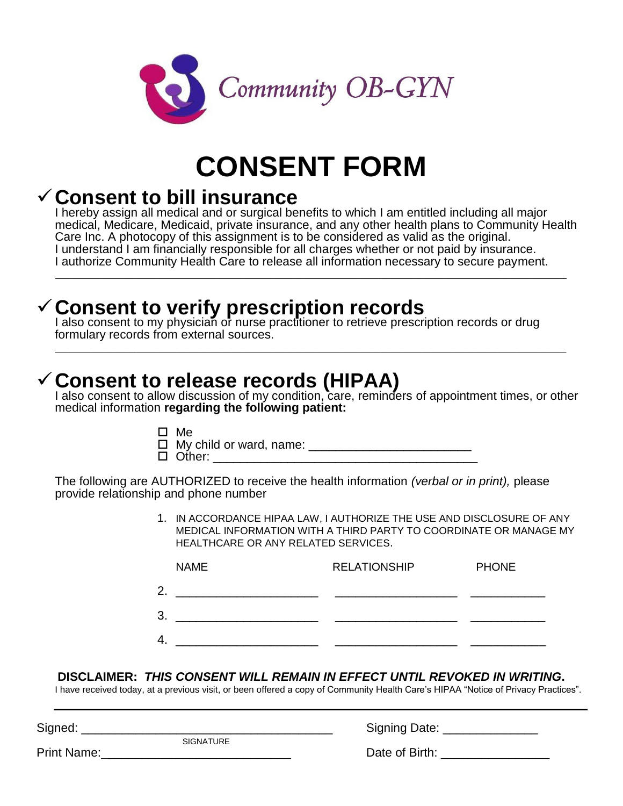

## **CONSENT FORM**

#### ✓**Consent to bill insurance**

I hereby assign all medical and or surgical benefits to which I am entitled including all major medical, Medicare, Medicaid, private insurance, and any other health plans to Community Health Care Inc. A photocopy of this assignment is to be considered as valid as the original. I understand I am financially responsible for all charges whether or not paid by insurance. I authorize Community Health Care to release all information necessary to secure payment.

\_\_\_\_\_\_\_\_\_\_\_\_\_\_\_\_\_\_\_\_\_\_\_\_\_\_\_\_\_\_\_\_\_\_\_\_\_\_\_\_\_\_\_\_\_\_\_\_\_\_\_\_\_\_\_\_\_\_\_\_\_\_\_\_\_\_\_\_\_\_\_\_\_\_\_\_\_\_\_\_\_\_\_\_\_\_\_\_\_\_\_\_\_\_\_\_\_\_\_\_\_\_\_\_\_\_\_\_\_\_\_\_\_

\_\_\_\_\_\_\_\_\_\_\_\_\_\_\_\_\_\_\_\_\_\_\_\_\_\_\_\_\_\_\_\_\_\_\_\_\_\_\_\_\_\_\_\_\_\_\_\_\_\_\_\_\_\_\_\_\_\_\_\_\_\_\_\_\_\_\_\_\_\_\_\_\_\_\_\_\_\_\_\_\_\_\_\_\_\_\_\_\_\_\_\_\_\_\_\_\_\_\_\_\_\_\_\_\_\_\_\_\_\_\_\_\_

#### ✓**Consent to verify prescription records**

I also consent to my physician or nurse practitioner to retrieve prescription records or drug formulary records from external sources.

#### ✓**Consent to release records (HIPAA)**

I also consent to allow discussion of my condition, care, reminders of appointment times, or other medical information **regarding the following patient:**

 $\square$  Me

 My child or ward, name: \_\_\_\_\_\_\_\_\_\_\_\_\_\_\_\_\_\_\_\_\_\_\_\_ Other: \_\_\_\_\_\_\_\_\_\_\_\_\_\_\_\_\_\_\_\_\_\_\_\_\_\_\_\_\_\_\_\_\_\_\_\_\_\_\_

The following are AUTHORIZED to receive the health information *(verbal or in print),* please provide relationship and phone number

> 1. IN ACCORDANCE HIPAA LAW, I AUTHORIZE THE USE AND DISCLOSURE OF ANY MEDICAL INFORMATION WITH A THIRD PARTY TO COORDINATE OR MANAGE MY HEALTHCARE OR ANY RELATED SERVICES.

| <b>NAME</b> | <b>RELATIONSHIP</b> | <b>PHONE</b> |
|-------------|---------------------|--------------|
| 2.          |                     |              |
| 3.          |                     |              |
| 4.          |                     |              |

#### **DISCLAIMER:** *THIS CONSENT WILL REMAIN IN EFFECT UNTIL REVOKED IN WRITING***.**

I have received today, at a previous visit, or been offered a copy of Community Health Care's HIPAA "Notice of Privacy Practices".

Signed: \_\_\_\_\_\_\_\_\_\_\_\_\_\_\_\_\_\_\_\_\_\_\_\_\_\_\_\_\_\_\_\_\_\_\_\_\_ Signing Date: \_\_\_\_\_\_\_\_\_\_\_\_\_\_

**SIGNATURE** 

| <b>Signing Date:</b> |  |
|----------------------|--|
|----------------------|--|

Print Name: \_\_\_\_\_\_\_\_\_\_\_\_\_\_\_\_\_\_\_\_\_\_\_\_\_\_\_ Date of Birth: \_\_\_\_\_\_\_\_\_\_\_\_\_\_\_\_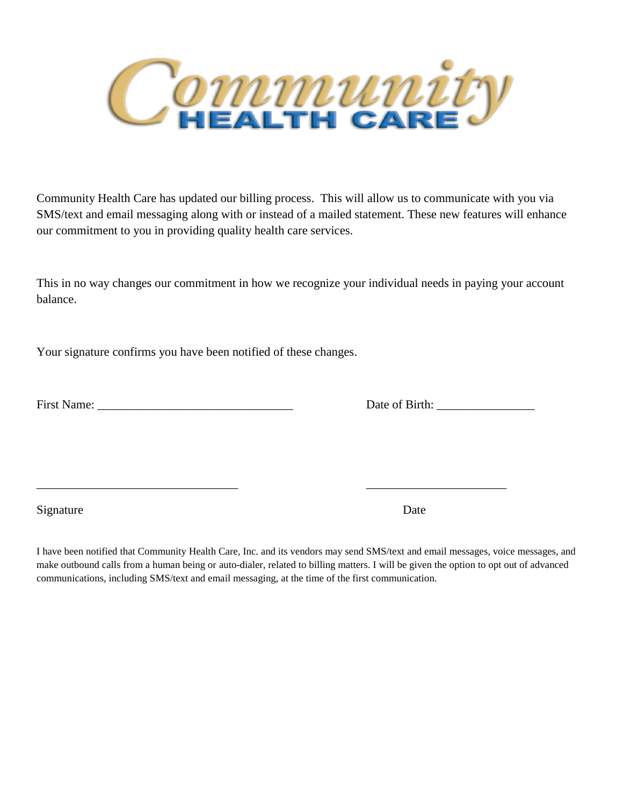

Community Health Care has updated our billing process. This will allow us to communicate with you via SMS/text and email messaging along with or instead of a mailed statement. These new features will enhance our commitment to you in providing quality health care services.

This in no way changes our commitment in how we recognize your individual needs in paying your account balance.

Your signature confirms you have been notified of these changes.

Date of Birth:

Signature Date

I have been notified that Community Health Care, Inc. and its vendors may send SMS/text and email messages, voice messages, and make outbound calls from a human being or auto-dialer, related to billing matters. I will be given the option to opt out of advanced communications, including SMS/text and email messaging, at the time of the first communication.

\_\_\_\_\_\_\_\_\_\_\_\_\_\_\_\_\_\_\_\_\_\_\_\_\_\_\_\_\_\_\_\_\_ \_\_\_\_\_\_\_\_\_\_\_\_\_\_\_\_\_\_\_\_\_\_\_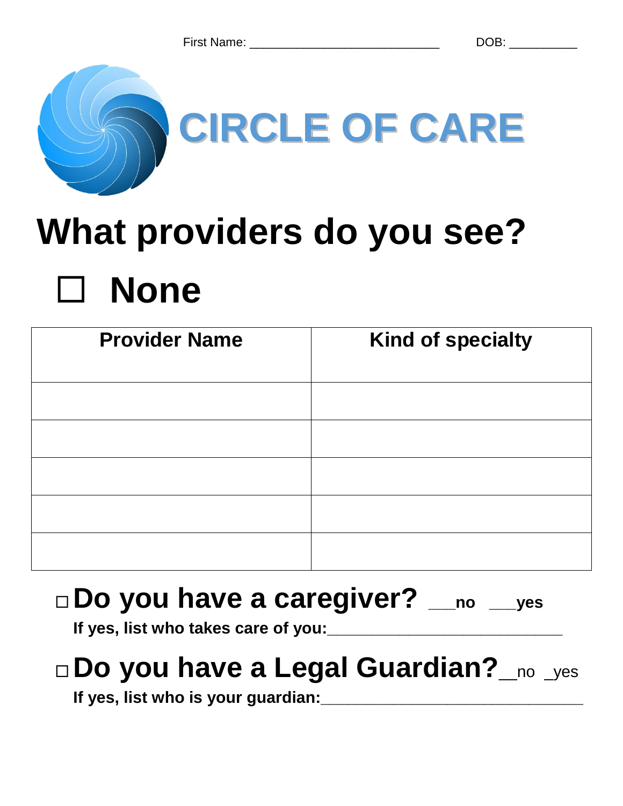

## **What providers do you see? None**

| <b>Provider Name</b> | <b>Kind of specialty</b> |
|----------------------|--------------------------|
|                      |                          |
|                      |                          |
|                      |                          |
|                      |                          |
|                      |                          |

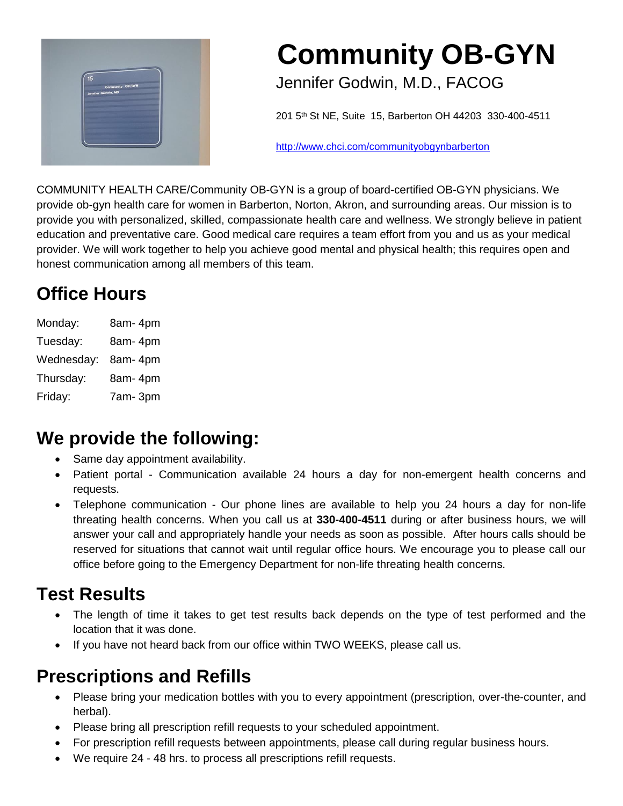

## **Community OB-GYN**

Jennifer Godwin, M.D., FACOG

201 5th St NE, Suite 15, Barberton OH 44203 330-400-4511

http://www.chci.com/communityobgynbarberton

COMMUNITY HEALTH CARE/Community OB-GYN is a group of board-certified OB-GYN physicians. We provide ob-gyn health care for women in Barberton, Norton, Akron, and surrounding areas. Our mission is to provide you with personalized, skilled, compassionate health care and wellness. We strongly believe in patient education and preventative care. Good medical care requires a team effort from you and us as your medical provider. We will work together to help you achieve good mental and physical health; this requires open and honest communication among all members of this team.

### **Office Hours**

| Monday:    | 8am-4pm |
|------------|---------|
| Tuesday:   | 8am-4pm |
| Wednesday: | 8am-4pm |
| Thursday:  | 8am-4pm |
| Friday:    | 7am-3pm |

#### **We provide the following:**

- Same day appointment availability.
- Patient portal Communication available 24 hours a day for non-emergent health concerns and requests.
- Telephone communication Our phone lines are available to help you 24 hours a day for non-life threating health concerns. When you call us at **330-400-4511** during or after business hours, we will answer your call and appropriately handle your needs as soon as possible. After hours calls should be reserved for situations that cannot wait until regular office hours. We encourage you to please call our office before going to the Emergency Department for non-life threating health concerns.

#### **Test Results**

- The length of time it takes to get test results back depends on the type of test performed and the location that it was done.
- If you have not heard back from our office within TWO WEEKS, please call us.

#### **Prescriptions and Refills**

- Please bring your medication bottles with you to every appointment (prescription, over-the-counter, and herbal).
- Please bring all prescription refill requests to your scheduled appointment.
- For prescription refill requests between appointments, please call during regular business hours.
- We require 24 48 hrs. to process all prescriptions refill requests.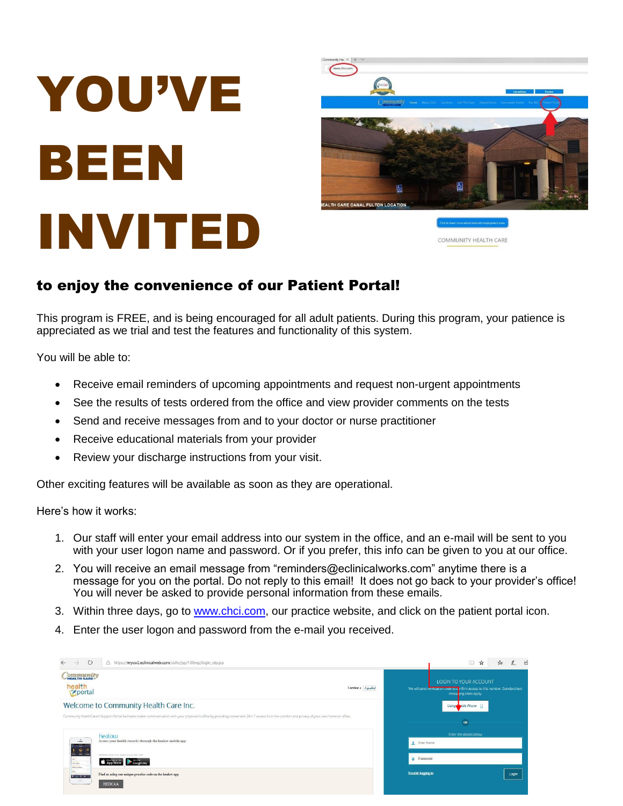# YOU'VE BEEN INVITED



COMMUNITY HEALTH CARE

#### to enjoy the convenience of our Patient Portal!

This program is FREE, and is being encouraged for all adult patients. During this program, your patience is appreciated as we trial and test the features and functionality of this system.

You will be able to:

- Receive email reminders of upcoming appointments and request non-urgent appointments
- See the results of tests ordered from the office and view provider comments on the tests
- Send and receive messages from and to your doctor or nurse practitioner
- Receive educational materials from your provider
- Review your discharge instructions from your visit.

Other exciting features will be available as soon as they are operational.

Here's how it works:

- 1. Our staff will enter your email address into our system in the office, and an e-mail will be sent to you with your user logon name and password. Or if you prefer, this info can be given to you at our office.
- 2. You will receive an email message from "reminders@eclinicalworks.com" anytime there is a message for you on the portal. Do not reply to this email! It does not go back to your provider's office! You will never be asked to provide personal information from these emails.
- 3. Within three days, go to [www.chci.com,](http://www.chci.com/) our practice website, and click on the patient portal icon.
- 4. Enter the user logon and password from the e-mail you received.

| $\circ$<br>$\leftarrow$<br>$\rightarrow$                                            | A https://mycw2.eclinicalweb.com/cohc/jsp/100mp/login_otp.jsp                                                                                                                                      |                           | $\Box$<br>15<br>$\boldsymbol{\mathrm{x}}$<br>੯≣                                                                                    |
|-------------------------------------------------------------------------------------|----------------------------------------------------------------------------------------------------------------------------------------------------------------------------------------------------|---------------------------|------------------------------------------------------------------------------------------------------------------------------------|
| OTTITUTILEY<br>health<br>Keportal                                                   | Cambiar a Español                                                                                                                                                                                  |                           | LOGIN TO YOUR ACCOUNT<br>We will send verification code to o infirm access to this number. Standard text<br>messa ang rates apply. |
|                                                                                     | Welcome to Community Health Care Inc.                                                                                                                                                              |                           | Using<br>bile Phone                                                                                                                |
|                                                                                     | Community HealthCare's Support Portal facilitates better communication with your physician's office by providing convenient 24 x 7 access from the comfort and privacy of your own home or office. |                           | OR                                                                                                                                 |
|                                                                                     | heatow                                                                                                                                                                                             |                           | Enter the details below                                                                                                            |
| $\sim$<br>$\sim$<br>$\bullet$                                                       | Access your health records through the healow mobile app                                                                                                                                           | User Name                 |                                                                                                                                    |
| -<br><b>STRA CARD</b><br><b>MEAN</b><br>$\overline{\phantom{a}}$<br><b>Charling</b> | DOWNLOAD THE FREE HEALOW APP<br>App Store Coogle play                                                                                                                                              | <b>A</b> Password         |                                                                                                                                    |
| <b>Schutz av Black</b><br>Arm.<br>9.769                                             | Find us using our unique practice code on the healow app                                                                                                                                           | <b>Trouble logging in</b> | Login                                                                                                                              |
| $-200$                                                                              | <b>HEDCAA</b>                                                                                                                                                                                      |                           |                                                                                                                                    |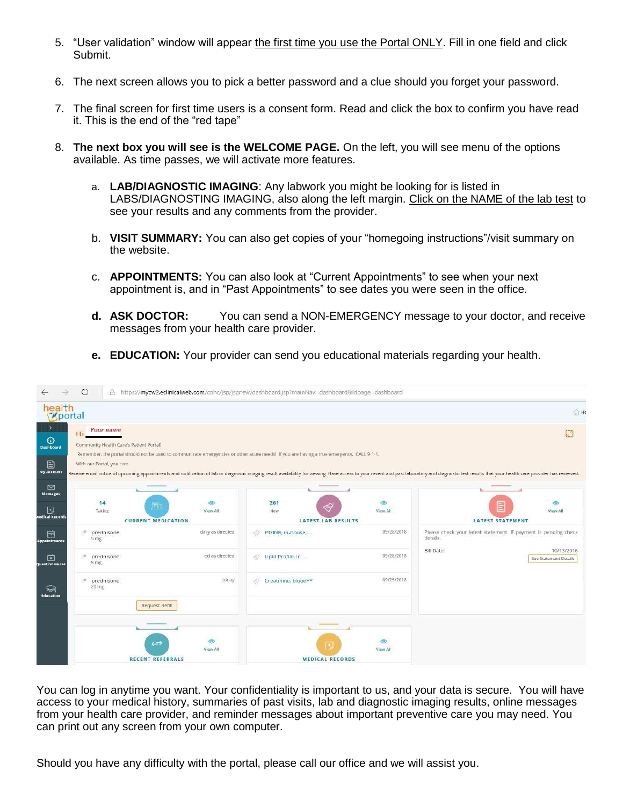- 5. "User validation" window will appear the first time you use the Portal ONLY. Fill in one field and click Submit.
- 6. The next screen allows you to pick a better password and a clue should you forget your password.
- 7. The final screen for first time users is a consent form. Read and click the box to confirm you have read it. This is the end of the "red tape"
- 8. **The next box you will see is the WELCOME PAGE.** On the left, you will see menu of the options available. As time passes, we will activate more features.
	- a. **LAB/DIAGNOSTIC IMAGING**: Any labwork you might be looking for is listed in LABS/DIAGNOSTING IMAGING, also along the left margin. Click on the NAME of the lab test to see your results and any comments from the provider.
	- b. **VISIT SUMMARY:** You can also get copies of your "homegoing instructions"/visit summary on the website.
	- c. **APPOINTMENTS:** You can also look at "Current Appointments" to see when your next appointment is, and in "Past Appointments" to see dates you were seen in the office.
	- **d. ASK DOCTOR:** You can send a NON-EMERGENCY message to your doctor, and receive messages from your health care provider.
	- **e. EDUCATION:** Your provider can send you educational materials regarding your health.

| $\rightarrow$<br>$\leftarrow$         | $\circ$                                                    |                                              |                     | A https://mycw2.eclinicalweb.com/cohc/jsp/jspnew/dashboard.jsp?mainNav=dashboard&ldpaqe=dashboard                                                                                                                                                                                                                                                                             |                                                  |                                                                                                                                                                                                                               |                                     |
|---------------------------------------|------------------------------------------------------------|----------------------------------------------|---------------------|-------------------------------------------------------------------------------------------------------------------------------------------------------------------------------------------------------------------------------------------------------------------------------------------------------------------------------------------------------------------------------|--------------------------------------------------|-------------------------------------------------------------------------------------------------------------------------------------------------------------------------------------------------------------------------------|-------------------------------------|
| health<br><b>Zportal</b>              |                                                            |                                              |                     |                                                                                                                                                                                                                                                                                                                                                                               |                                                  |                                                                                                                                                                                                                               | △ H                                 |
| $\rightarrow$<br>$\odot$<br>Dashboard | Your name<br>Hi<br>Community Health Care's Patient Portal! |                                              |                     | Remember, the portal should not be used to communicate emergencies or other acute needs! If you are having a true emergency, CALL 9-1-1.                                                                                                                                                                                                                                      |                                                  |                                                                                                                                                                                                                               | D.                                  |
| 目<br><b>My Account</b>                | With our Portal, you can:                                  |                                              |                     |                                                                                                                                                                                                                                                                                                                                                                               |                                                  | Receive email notice of upcoming appointments and notification of lab or diagnostic imaging result availability for viewing. Have access to your recent and past laboratory and diagnostic test results that your health care |                                     |
| $\triangleright$<br><b>Messages</b>   |                                                            |                                              |                     |                                                                                                                                                                                                                                                                                                                                                                               |                                                  |                                                                                                                                                                                                                               |                                     |
| 冋<br><b>Aedical Records</b>           | 14<br>Taking                                               | 置高<br><b>CURRENT MEDICATION</b>              | $\circ$<br>View All | 261<br>New                                                                                                                                                                                                                                                                                                                                                                    | $\circ$<br>View All<br><b>LATEST LAB RESULTS</b> | <b>LATEST STATEMENT</b>                                                                                                                                                                                                       | ග<br>View All                       |
| 峝<br><b>Appointments</b>              | P.<br>prednisone<br>5 <sub>mg</sub>                        |                                              | daily as directed   | PT/INR, in-house,<br>$\begin{picture}(120,15) \put(0,0){\line(1,0){15}} \put(0,0){\line(1,0){15}} \put(0,0){\line(1,0){15}} \put(0,0){\line(1,0){15}} \put(0,0){\line(1,0){15}} \put(0,0){\line(1,0){15}} \put(0,0){\line(1,0){15}} \put(0,0){\line(1,0){15}} \put(0,0){\line(1,0){15}} \put(0,0){\line(1,0){15}} \put(0,0){\line(1,0){15}} \put(0,0){\line(1,0){15}} \put(0$ | 09/28/2018                                       | Please check your latest statement. If payment is pending check<br>details.                                                                                                                                                   |                                     |
| 面<br>Questionnaires                   | P<br>prednisone<br>5 mg                                    |                                              | gd as directed      | Lipid Profile, in                                                                                                                                                                                                                                                                                                                                                             | 09/28/2018                                       | <b>Bill Date:</b>                                                                                                                                                                                                             | 10/13/2016<br>See Statement Details |
| া<br>Education                        | 4<br>prednisone<br>$20 \, \text{mg}$                       |                                              | today               | Creatinine, blood**                                                                                                                                                                                                                                                                                                                                                           | 09/25/2018                                       |                                                                                                                                                                                                                               |                                     |
|                                       |                                                            | Request Refill                               |                     |                                                                                                                                                                                                                                                                                                                                                                               |                                                  |                                                                                                                                                                                                                               |                                     |
|                                       |                                                            | $\leftrightarrow$<br><b>RECENT REFERRALS</b> | ඏ<br>View All       |                                                                                                                                                                                                                                                                                                                                                                               | ඏ<br>国<br>View All<br><b>MEDICAL RECORDS</b>     |                                                                                                                                                                                                                               |                                     |

You can log in anytime you want. Your confidentiality is important to us, and your data is secure. You will have access to your medical history, summaries of past visits, lab and diagnostic imaging results, online messages from your health care provider, and reminder messages about important preventive care you may need. You can print out any screen from your own computer.

Should you have any difficulty with the portal, please call our office and we will assist you.